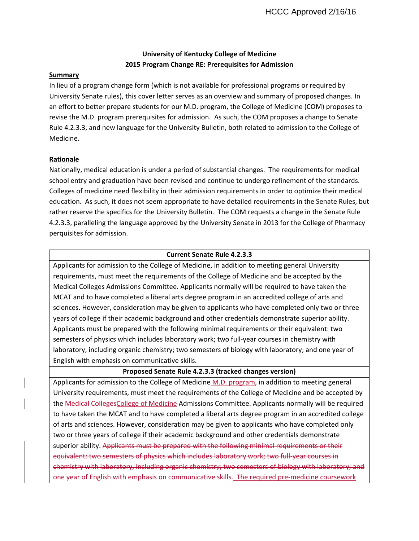# **University of Kentucky College of Medicine 2015 Program Change RE: Prerequisites for Admission**

### **Summary**

In lieu of a program change form (which is not available for professional programs or required by University Senate rules), this cover letter serves as an overview and summary of proposed changes. In an effort to better prepare students for our M.D. program, the College of Medicine (COM) proposes to revise the M.D. program prerequisites for admission. As such, the COM proposes a change to Senate Rule 4.2.3.3, and new language for the University Bulletin, both related to admission to the College of Medicine.

### **Rationale**

Nationally, medical education is under a period of substantial changes. The requirements for medical school entry and graduation have been revised and continue to undergo refinement of the standards. Colleges of medicine need flexibility in their admission requirements in order to optimize their medical education. As such, it does not seem appropriate to have detailed requirements in the Senate Rules, but rather reserve the specifics for the University Bulletin. The COM requests a change in the Senate Rule 4.2.3.3, paralleling the language approved by the University Senate in 2013 for the College of Pharmacy perquisites for admission.

### **Current Senate Rule 4.2.3.3**

Applicants for admission to the College of Medicine, in addition to meeting general University requirements, must meet the requirements of the College of Medicine and be accepted by the Medical Colleges Admissions Committee. Applicants normally will be required to have taken the MCAT and to have completed a liberal arts degree program in an accredited college of arts and sciences. However, consideration may be given to applicants who have completed only two or three years of college if their academic background and other credentials demonstrate superior ability. Applicants must be prepared with the following minimal requirements or their equivalent: two semesters of physics which includes laboratory work; two full-year courses in chemistry with laboratory, including organic chemistry; two semesters of biology with laboratory; and one year of English with emphasis on communicative skills.

## **Proposed Senate Rule 4.2.3.3 (tracked changes version)**

Applicants for admission to the College of Medicine M.D. program, in addition to meeting general University requirements, must meet the requirements of the College of Medicine and be accepted by the Medical CollegesCollege of Medicine Admissions Committee. Applicants normally will be required to have taken the MCAT and to have completed a liberal arts degree program in an accredited college of arts and sciences. However, consideration may be given to applicants who have completed only two or three years of college if their academic background and other credentials demonstrate superior ability. Applicants must be prepared with the following minimal requirements or their equivalent: two semesters of physics which includes laboratory work; two full-year courses in chemistry with laboratory, including organic chemistry; two semesters of biology with laboratory; and one year of English with emphasis on communicative skills. The required pre-medicine coursework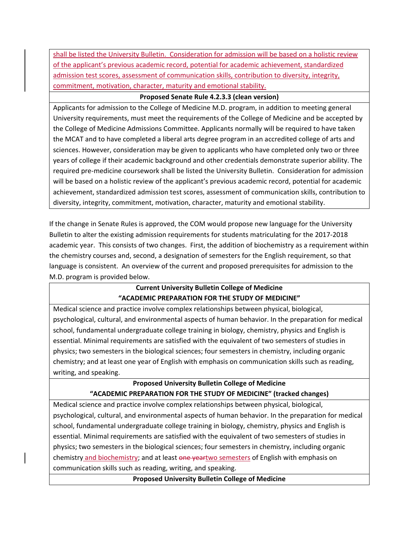shall be listed the University Bulletin. Consideration for admission will be based on a holistic review of the applicant's previous academic record, potential for academic achievement, standardized admission test scores, assessment of communication skills, contribution to diversity, integrity, commitment, motivation, character, maturity and emotional stability.

## **Proposed Senate Rule 4.2.3.3 (clean version)**

Applicants for admission to the College of Medicine M.D. program, in addition to meeting general University requirements, must meet the requirements of the College of Medicine and be accepted by the College of Medicine Admissions Committee. Applicants normally will be required to have taken the MCAT and to have completed a liberal arts degree program in an accredited college of arts and sciences. However, consideration may be given to applicants who have completed only two or three years of college if their academic background and other credentials demonstrate superior ability. The required pre‐medicine coursework shall be listed the University Bulletin. Consideration for admission will be based on a holistic review of the applicant's previous academic record, potential for academic achievement, standardized admission test scores, assessment of communication skills, contribution to diversity, integrity, commitment, motivation, character, maturity and emotional stability.

If the change in Senate Rules is approved, the COM would propose new language for the University Bulletin to alter the existing admission requirements for students matriculating for the 2017‐2018 academic year. This consists of two changes. First, the addition of biochemistry as a requirement within the chemistry courses and, second, a designation of semesters for the English requirement, so that language is consistent. An overview of the current and proposed prerequisites for admission to the M.D. program is provided below.

# **Current University Bulletin College of Medicine "ACADEMIC PREPARATION FOR THE STUDY OF MEDICINE"**

Medical science and practice involve complex relationships between physical, biological, psychological, cultural, and environmental aspects of human behavior. In the preparation for medical school, fundamental undergraduate college training in biology, chemistry, physics and English is essential. Minimal requirements are satisfied with the equivalent of two semesters of studies in physics; two semesters in the biological sciences; four semesters in chemistry, including organic chemistry; and at least one year of English with emphasis on communication skills such as reading, writing, and speaking.

# **Proposed University Bulletin College of Medicine "ACADEMIC PREPARATION FOR THE STUDY OF MEDICINE" (tracked changes)**

Medical science and practice involve complex relationships between physical, biological, psychological, cultural, and environmental aspects of human behavior. In the preparation for medical school, fundamental undergraduate college training in biology, chemistry, physics and English is essential. Minimal requirements are satisfied with the equivalent of two semesters of studies in physics; two semesters in the biological sciences; four semesters in chemistry, including organic chemistry and biochemistry; and at least one yeartwo semesters of English with emphasis on communication skills such as reading, writing, and speaking.

**Proposed University Bulletin College of Medicine**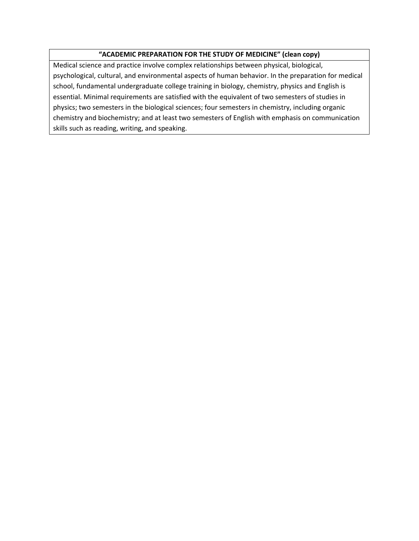# **"ACADEMIC PREPARATION FOR THE STUDY OF MEDICINE" (clean copy)**

Medical science and practice involve complex relationships between physical, biological, psychological, cultural, and environmental aspects of human behavior. In the preparation for medical school, fundamental undergraduate college training in biology, chemistry, physics and English is essential. Minimal requirements are satisfied with the equivalent of two semesters of studies in physics; two semesters in the biological sciences; four semesters in chemistry, including organic chemistry and biochemistry; and at least two semesters of English with emphasis on communication skills such as reading, writing, and speaking.